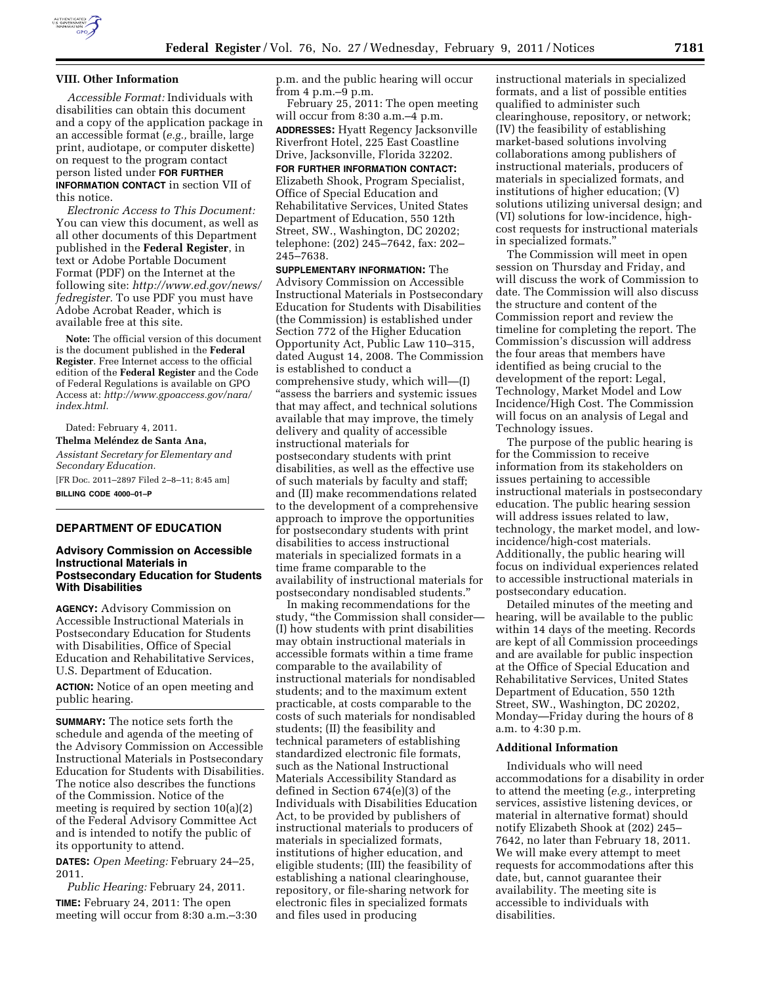

#### **VIII. Other Information**

*Accessible Format:* Individuals with disabilities can obtain this document and a copy of the application package in an accessible format (*e.g.,* braille, large print, audiotape, or computer diskette) on request to the program contact person listed under **FOR FURTHER INFORMATION CONTACT** in section VII of this notice.

*Electronic Access to This Document:*  You can view this document, as well as all other documents of this Department published in the **Federal Register**, in text or Adobe Portable Document Format (PDF) on the Internet at the following site: *[http://www.ed.gov/news/](http://www.ed.gov/news/fedregister) [fedregister.](http://www.ed.gov/news/fedregister)* To use PDF you must have Adobe Acrobat Reader, which is available free at this site.

**Note:** The official version of this document is the document published in the **Federal Register**. Free Internet access to the official edition of the **Federal Register** and the Code of Federal Regulations is available on GPO Access at: *[http://www.gpoaccess.gov/nara/](http://www.gpoaccess.gov/nara/index.html) [index.html.](http://www.gpoaccess.gov/nara/index.html)* 

Dated: February 4, 2011. **Thelma Meléndez de Santa Ana,** *Assistant Secretary for Elementary and Secondary Education.*  [FR Doc. 2011–2897 Filed 2–8–11; 8:45 am] **BILLING CODE 4000–01–P** 

## **DEPARTMENT OF EDUCATION**

### **Advisory Commission on Accessible Instructional Materials in Postsecondary Education for Students With Disabilities**

**AGENCY:** Advisory Commission on Accessible Instructional Materials in Postsecondary Education for Students with Disabilities, Office of Special Education and Rehabilitative Services, U.S. Department of Education.

**ACTION:** Notice of an open meeting and public hearing.

**SUMMARY:** The notice sets forth the schedule and agenda of the meeting of the Advisory Commission on Accessible Instructional Materials in Postsecondary Education for Students with Disabilities. The notice also describes the functions of the Commission. Notice of the meeting is required by section 10(a)(2) of the Federal Advisory Committee Act and is intended to notify the public of its opportunity to attend.

**DATES:** *Open Meeting:* February 24–25, 2011.

*Public Hearing:* February 24, 2011. **TIME:** February 24, 2011: The open meeting will occur from 8:30 a.m.–3:30 p.m. and the public hearing will occur from 4 p.m.–9 p.m.

February 25, 2011: The open meeting will occur from 8:30 a.m.–4 p.m. **ADDRESSES:** Hyatt Regency Jacksonville Riverfront Hotel, 225 East Coastline Drive, Jacksonville, Florida 32202.

**FOR FURTHER INFORMATION CONTACT:**  Elizabeth Shook, Program Specialist, Office of Special Education and Rehabilitative Services, United States Department of Education, 550 12th Street, SW., Washington, DC 20202; telephone: (202) 245–7642, fax: 202– 245–7638.

**SUPPLEMENTARY INFORMATION:** The Advisory Commission on Accessible Instructional Materials in Postsecondary Education for Students with Disabilities (the Commission) is established under Section 772 of the Higher Education Opportunity Act, Public Law 110–315, dated August 14, 2008. The Commission is established to conduct a comprehensive study, which will—(I) ''assess the barriers and systemic issues that may affect, and technical solutions available that may improve, the timely delivery and quality of accessible instructional materials for postsecondary students with print disabilities, as well as the effective use of such materials by faculty and staff; and (II) make recommendations related to the development of a comprehensive approach to improve the opportunities for postsecondary students with print disabilities to access instructional materials in specialized formats in a time frame comparable to the availability of instructional materials for postsecondary nondisabled students.''

In making recommendations for the study, ''the Commission shall consider— (I) how students with print disabilities may obtain instructional materials in accessible formats within a time frame comparable to the availability of instructional materials for nondisabled students; and to the maximum extent practicable, at costs comparable to the costs of such materials for nondisabled students; (II) the feasibility and technical parameters of establishing standardized electronic file formats, such as the National Instructional Materials Accessibility Standard as defined in Section 674(e)(3) of the Individuals with Disabilities Education Act, to be provided by publishers of instructional materials to producers of materials in specialized formats, institutions of higher education, and eligible students; (III) the feasibility of establishing a national clearinghouse, repository, or file-sharing network for electronic files in specialized formats and files used in producing

instructional materials in specialized formats, and a list of possible entities qualified to administer such clearinghouse, repository, or network; (IV) the feasibility of establishing market-based solutions involving collaborations among publishers of instructional materials, producers of materials in specialized formats, and institutions of higher education; (V) solutions utilizing universal design; and (VI) solutions for low-incidence, highcost requests for instructional materials in specialized formats.''

The Commission will meet in open session on Thursday and Friday, and will discuss the work of Commission to date. The Commission will also discuss the structure and content of the Commission report and review the timeline for completing the report. The Commission's discussion will address the four areas that members have identified as being crucial to the development of the report: Legal, Technology, Market Model and Low Incidence/High Cost. The Commission will focus on an analysis of Legal and Technology issues.

The purpose of the public hearing is for the Commission to receive information from its stakeholders on issues pertaining to accessible instructional materials in postsecondary education. The public hearing session will address issues related to law, technology, the market model, and lowincidence/high-cost materials. Additionally, the public hearing will focus on individual experiences related to accessible instructional materials in postsecondary education.

Detailed minutes of the meeting and hearing, will be available to the public within 14 days of the meeting. Records are kept of all Commission proceedings and are available for public inspection at the Office of Special Education and Rehabilitative Services, United States Department of Education, 550 12th Street, SW., Washington, DC 20202, Monday—Friday during the hours of 8 a.m. to 4:30 p.m.

### **Additional Information**

Individuals who will need accommodations for a disability in order to attend the meeting (*e.g.,* interpreting services, assistive listening devices, or material in alternative format) should notify Elizabeth Shook at (202) 245– 7642, no later than February 18, 2011. We will make every attempt to meet requests for accommodations after this date, but, cannot guarantee their availability. The meeting site is accessible to individuals with disabilities.